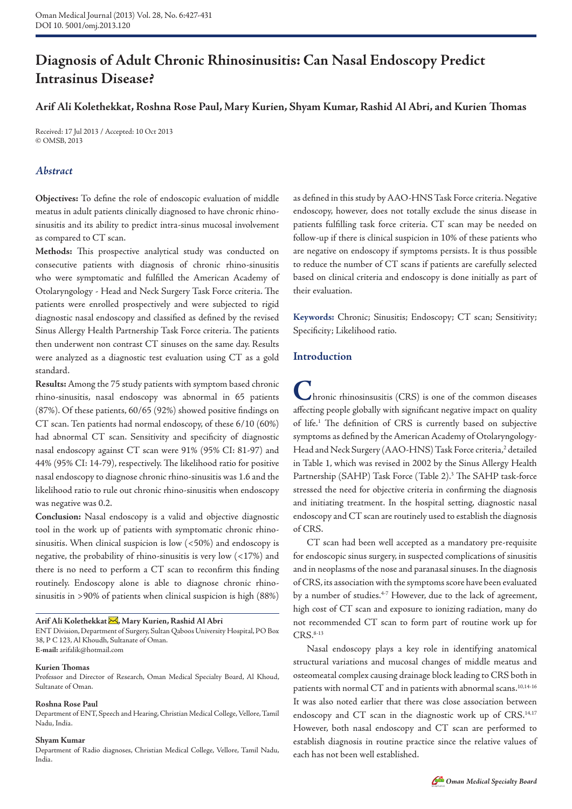# **Diagnosis of Adult Chronic Rhinosinusitis: Can Nasal Endoscopy Predict Intrasinus Disease?**

# **Arif Ali Kolethekkat, Roshna Rose Paul, Mary Kurien, Shyam Kumar, Rashid Al Abri, and Kurien Thomas**

Received: 17 Jul 2013 / Accepted: 10 Oct 2013 © OMSB, 2013

## *Abstract*

**Objectives:** To define the role of endoscopic evaluation of middle meatus in adult patients clinically diagnosed to have chronic rhinosinusitis and its ability to predict intra-sinus mucosal involvement as compared to CT scan.

**Methods:** This prospective analytical study was conducted on consecutive patients with diagnosis of chronic rhino-sinusitis who were symptomatic and fulfilled the American Academy of Otolaryngology - Head and Neck Surgery Task Force criteria. The patients were enrolled prospectively and were subjected to rigid diagnostic nasal endoscopy and classified as defined by the revised Sinus Allergy Health Partnership Task Force criteria. The patients then underwent non contrast CT sinuses on the same day. Results were analyzed as a diagnostic test evaluation using CT as a gold standard.

**Results:** Among the 75 study patients with symptom based chronic rhino-sinusitis, nasal endoscopy was abnormal in 65 patients (87%). Of these patients, 60/65 (92%) showed positive findings on CT scan. Ten patients had normal endoscopy, of these 6/10 (60%) had abnormal CT scan. Sensitivity and specificity of diagnostic nasal endoscopy against CT scan were 91% (95% CI: 81-97) and 44% (95% CI: 14-79), respectively. The likelihood ratio for positive nasal endoscopy to diagnose chronic rhino-sinusitis was 1.6 and the likelihood ratio to rule out chronic rhino-sinusitis when endoscopy was negative was 0.2.

**Conclusion:** Nasal endoscopy is a valid and objective diagnostic tool in the work up of patients with symptomatic chronic rhinosinusitis. When clinical suspicion is low (<50%) and endoscopy is negative, the probability of rhino-sinusitis is very low (<17%) and there is no need to perform a CT scan to reconfirm this finding routinely. Endoscopy alone is able to diagnose chronic rhinosinusitis in >90% of patients when clinical suspicion is high (88%)

#### Arif Ali Kolethekkat <a>
Mary Kurien, Rashid Al Abri<br/>  $\blacksquare$

ENT Division, Department of Surgery, Sultan Qaboos University Hospital, PO Box 38, P C 123, Al Khoudh, Sultanate of Oman. **E-mail:** arifalik@hotmail.com

#### **Kurien Thomas**

Professor and Director of Research, Oman Medical Specialty Board, Al Khoud, Sultanate of Oman.

#### **Roshna Rose Paul**

Department of ENT, Speech and Hearing, Christian Medical College, Vellore, Tamil Nadu, India.

#### **Shyam Kumar**

Department of Radio diagnoses, Christian Medical College, Vellore, Tamil Nadu, India.

as defined in this study by AAO-HNS Task Force criteria. Negative endoscopy, however, does not totally exclude the sinus disease in patients fulfilling task force criteria. CT scan may be needed on follow-up if there is clinical suspicion in 10% of these patients who are negative on endoscopy if symptoms persists. It is thus possible to reduce the number of CT scans if patients are carefully selected based on clinical criteria and endoscopy is done initially as part of their evaluation.

**Keywords:** Chronic; Sinusitis; Endoscopy; CT scan; Sensitivity; Specificity; Likelihood ratio.

## **Introduction**

**C**hronic rhinosinsusitis (CRS) is one of the common diseases affecting people globally with significant negative impact on quality of life.<sup>1</sup> The definition of CRS is currently based on subjective symptoms as defined by the American Academy of Otolaryngology-Head and Neck Surgery (AAO-HNS) Task Force criteria,<sup>2</sup> detailed in Table 1, which was revised in 2002 by the Sinus Allergy Health Partnership (SAHP) Task Force (Table 2).<sup>3</sup> The SAHP task-force stressed the need for objective criteria in confirming the diagnosis and initiating treatment. In the hospital setting, diagnostic nasal endoscopy and CT scan are routinely used to establish the diagnosis of CRS.

CT scan had been well accepted as a mandatory pre-requisite for endoscopic sinus surgery, in suspected complications of sinusitis and in neoplasms of the nose and paranasal sinuses. In the diagnosis of CRS, its association with the symptoms score have been evaluated by a number of studies.<sup>4-7</sup> However, due to the lack of agreement, high cost of CT scan and exposure to ionizing radiation, many do not recommended CT scan to form part of routine work up for CRS.8-13

Nasal endoscopy plays a key role in identifying anatomical structural variations and mucosal changes of middle meatus and osteomeatal complex causing drainage block leading to CRS both in patients with normal CT and in patients with abnormal scans.10,14-16 It was also noted earlier that there was close association between endoscopy and CT scan in the diagnostic work up of CRS.<sup>14,17</sup> However, both nasal endoscopy and CT scan are performed to establish diagnosis in routine practice since the relative values of each has not been well established.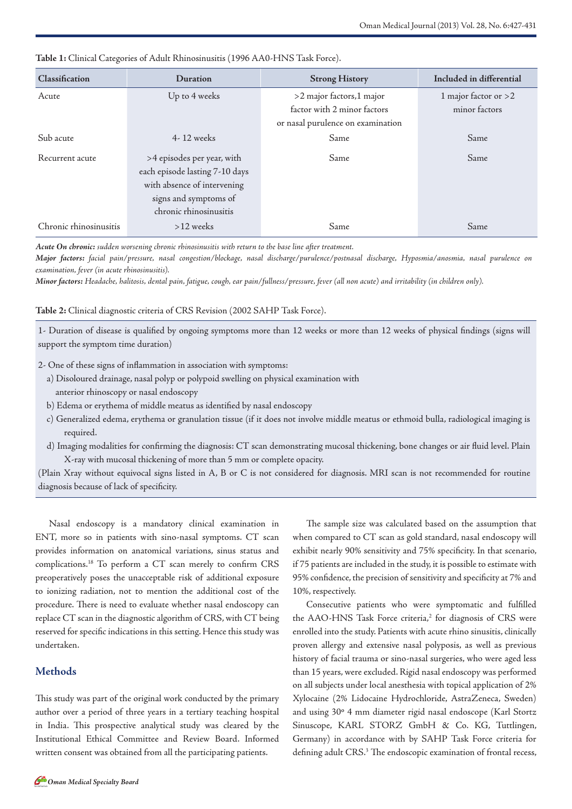| Classification         | Duration                       | <b>Strong History</b>             | Included in differential |
|------------------------|--------------------------------|-----------------------------------|--------------------------|
| Acute                  | Up to 4 weeks                  | >2 major factors,1 major          | 1 major factor or >2     |
|                        |                                | factor with 2 minor factors       | minor factors            |
|                        |                                | or nasal purulence on examination |                          |
| Sub acute              | 4-12 weeks                     | Same                              | Same                     |
| Recurrent acute        | >4 episodes per year, with     | Same                              | Same                     |
|                        | each episode lasting 7-10 days |                                   |                          |
|                        | with absence of intervening    |                                   |                          |
|                        | signs and symptoms of          |                                   |                          |
|                        | chronic rhinosinusitis         |                                   |                          |
| Chronic rhinosinusitis | $>12$ weeks                    | Same                              | Same                     |

**Table 1:** Clinical Categories of Adult Rhinosinusitis (1996 AA0-HNS Task Force).

*Acute On chronic: sudden worsening chronic rhinosinusitis with return to the base line after treatment.*

*Major factors: facial pain/pressure, nasal congestion/blockage, nasal discharge/purulence/postnasal discharge, Hyposmia/anosmia, nasal purulence on examination, fever (in acute rhinosinusitis).*

*Minor factors: Headache, halitosis, dental pain, fatigue, cough, ear pain/fullness/pressure, fever (all non acute) and irritability (in children only).*

#### **Table 2:** Clinical diagnostic criteria of CRS Revision (2002 SAHP Task Force).

1- Duration of disease is qualified by ongoing symptoms more than 12 weeks or more than 12 weeks of physical findings (signs will support the symptom time duration)

2- One of these signs of inflammation in association with symptoms:

- a) Disoloured drainage, nasal polyp or polypoid swelling on physical examination with anterior rhinoscopy or nasal endoscopy
- b) Edema or erythema of middle meatus as identified by nasal endoscopy
- c) Generalized edema, erythema or granulation tissue (if it does not involve middle meatus or ethmoid bulla, radiological imaging is required.
- d) Imaging modalities for confirming the diagnosis: CT scan demonstrating mucosal thickening, bone changes or air fluid level. Plain X-ray with mucosal thickening of more than 5 mm or complete opacity.

(Plain Xray without equivocal signs listed in A, B or C is not considered for diagnosis. MRI scan is not recommended for routine diagnosis because of lack of specificity.

Nasal endoscopy is a mandatory clinical examination in ENT, more so in patients with sino-nasal symptoms. CT scan provides information on anatomical variations, sinus status and complications.18 To perform a CT scan merely to confirm CRS preoperatively poses the unacceptable risk of additional exposure to ionizing radiation, not to mention the additional cost of the procedure. There is need to evaluate whether nasal endoscopy can replace CT scan in the diagnostic algorithm of CRS, with CT being reserved for specific indications in this setting. Hence this study was undertaken.

## **Methods**

This study was part of the original work conducted by the primary author over a period of three years in a tertiary teaching hospital in India. This prospective analytical study was cleared by the Institutional Ethical Committee and Review Board. Informed written consent was obtained from all the participating patients.

The sample size was calculated based on the assumption that when compared to CT scan as gold standard, nasal endoscopy will exhibit nearly 90% sensitivity and 75% specificity. In that scenario, if 75 patients are included in the study, it is possible to estimate with 95% confidence, the precision of sensitivity and specificity at 7% and 10%, respectively.

Consecutive patients who were symptomatic and fulfilled the AAO-HNS Task Force criteria,<sup>2</sup> for diagnosis of CRS were enrolled into the study. Patients with acute rhino sinusitis, clinically proven allergy and extensive nasal polyposis, as well as previous history of facial trauma or sino-nasal surgeries, who were aged less than 15 years, were excluded. Rigid nasal endoscopy was performed on all subjects under local anesthesia with topical application of 2% Xylocaine (2% Lidocaine Hydrochloride, AstraZeneca, Sweden) and using 30º 4 mm diameter rigid nasal endoscope (Karl Stortz Sinuscope, KARL STORZ GmbH & Co. KG, Tuttlingen, Germany) in accordance with by SAHP Task Force criteria for defining adult CRS.<sup>3</sup> The endoscopic examination of frontal recess,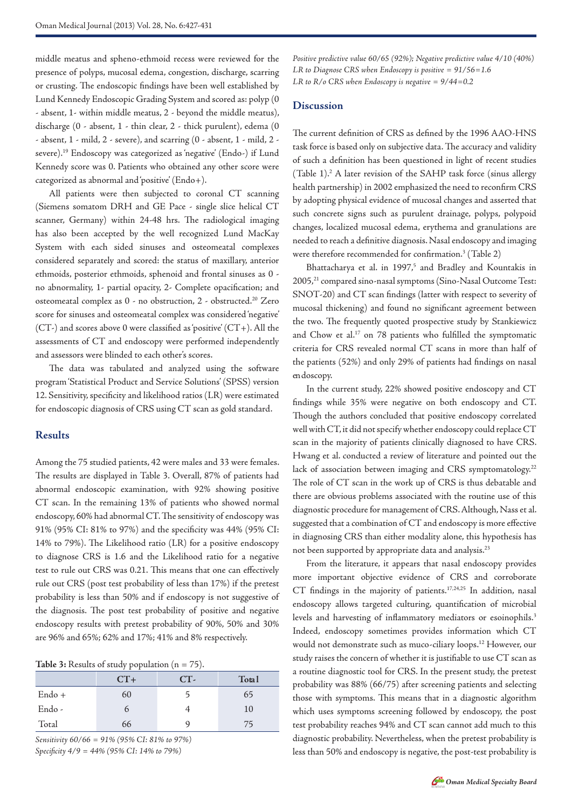middle meatus and spheno-ethmoid recess were reviewed for the presence of polyps, mucosal edema, congestion, discharge, scarring or crusting. The endoscopic findings have been well established by Lund Kennedy Endoscopic Grading System and scored as: polyp (0 - absent, 1- within middle meatus, 2 - beyond the middle meatus), discharge (0 - absent, 1 - thin clear, 2 - thick purulent), edema (0 - absent, 1 - mild, 2 - severe), and scarring (0 - absent, 1 - mild, 2 severe).19 Endoscopy was categorized as 'negative' (Endo-) if Lund Kennedy score was 0. Patients who obtained any other score were categorized as abnormal and 'positive' (Endo+).

All patients were then subjected to coronal CT scanning (Siemens somatom DRH and GE Pace - single slice helical CT scanner, Germany) within 24-48 hrs. The radiological imaging has also been accepted by the well recognized Lund MacKay System with each sided sinuses and osteomeatal complexes considered separately and scored: the status of maxillary, anterior ethmoids, posterior ethmoids, sphenoid and frontal sinuses as 0 no abnormality, 1- partial opacity, 2- Complete opacification; and osteomeatal complex as 0 - no obstruction, 2 - obstructed.20 Zero score for sinuses and osteomeatal complex was considered 'negative' (CT-) and scores above 0 were classified as 'positive' (CT+). All the assessments of CT and endoscopy were performed independently and assessors were blinded to each other's scores.

The data was tabulated and analyzed using the software program 'Statistical Product and Service Solutions' (SPSS) version 12. Sensitivity, specificity and likelihood ratios (LR) were estimated for endoscopic diagnosis of CRS using CT scan as gold standard.

### **Results**

Among the 75 studied patients, 42 were males and 33 were females. The results are displayed in Table 3. Overall, 87% of patients had abnormal endoscopic examination, with 92% showing positive CT scan. In the remaining 13% of patients who showed normal endoscopy, 60% had abnormal CT. The sensitivity of endoscopy was 91% (95% CI: 81% to 97%) and the specificity was 44% (95% CI: 14% to 79%). The Likelihood ratio (LR) for a positive endoscopy to diagnose CRS is 1.6 and the Likelihood ratio for a negative test to rule out CRS was 0.21. This means that one can effectively rule out CRS (post test probability of less than 17%) if the pretest probability is less than 50% and if endoscopy is not suggestive of the diagnosis. The post test probability of positive and negative endoscopy results with pretest probability of 90%, 50% and 30% are 96% and 65%; 62% and 17%; 41% and 8% respectively.

#### **Table 3:** Results of study population (n = 75).

|        | $CT+$ | $CT-$ | Total |
|--------|-------|-------|-------|
| Endo + | 60    | ∽     | 65    |
| Endo-  | h     |       | 10    |
| Total  | 66    |       | 75    |

*Sensitivity 60/66 = 91% (95% CI: 81% to 97%) Specificity 4/9 = 44% (95% CI: 14% to 79%)*

*Positive predictive value 60/65 (92%); Negative predictive value 4/10 (40%) LR to Diagnose CRS when Endoscopy is positive = 91/56=1.6 LR to R/o CRS when Endoscopy is negative = 9/44=0.2*

#### **Discussion**

The current definition of CRS as defined by the 1996 AAO-HNS task force is based only on subjective data. The accuracy and validity of such a definition has been questioned in light of recent studies (Table 1).<sup>2</sup> A later revision of the SAHP task force (sinus allergy health partnership) in 2002 emphasized the need to reconfirm CRS by adopting physical evidence of mucosal changes and asserted that such concrete signs such as purulent drainage, polyps, polypoid changes, localized mucosal edema, erythema and granulations are needed to reach a definitive diagnosis. Nasal endoscopy and imaging were therefore recommended for confirmation.<sup>3</sup> (Table 2)

Bhattacharya et al. in 1997,<sup>5</sup> and Bradley and Kountakis in 2005,<sup>21</sup> compared sino-nasal symptoms (Sino-Nasal Outcome Test: SNOT-20) and CT scan findings (latter with respect to severity of mucosal thickening) and found no significant agreement between the two. The frequently quoted prospective study by Stankiewicz and Chow et al.<sup>17</sup> on 78 patients who fulfilled the symptomatic criteria for CRS revealed normal CT scans in more than half of the patients (52%) and only 29% of patients had findings on nasal en doscopy.

In the current study, 22% showed positive endoscopy and CT findings while 35% were negative on both endoscopy and CT. Though the authors concluded that positive endoscopy correlated well with CT, it did not specify whether endoscopy could replace CT scan in the majority of patients clinically diagnosed to have CRS. Hwang et al. conducted a review of literature and pointed out the lack of association between imaging and CRS symptomatology.<sup>22</sup> The role of CT scan in the work up of CRS is thus debatable and there are obvious problems associated with the routine use of this diagnostic procedure for management of CRS. Although, Nass et al. suggested that a combination of CT and endoscopy is more effective in diagnosing CRS than either modality alone, this hypothesis has not been supported by appropriate data and analysis.<sup>23</sup>

From the literature, it appears that nasal endoscopy provides more important objective evidence of CRS and corroborate CT findings in the majority of patients.<sup>17,24,25</sup> In addition, nasal endoscopy allows targeted culturing, quantification of microbial levels and harvesting of inflammatory mediators or esoinophils.<sup>3</sup> Indeed, endoscopy sometimes provides information which CT would not demonstrate such as muco-ciliary loops.<sup>12</sup> However, our study raises the concern of whether it is justifiable to use CT scan as a routine diagnostic tool for CRS. In the present study, the pretest probability was 88% (66/75) after screening patients and selecting those with symptoms. This means that in a diagnostic algorithm which uses symptoms screening followed by endoscopy, the post test probability reaches 94% and CT scan cannot add much to this diagnostic probability. Nevertheless, when the pretest probability is less than 50% and endoscopy is negative, the post-test probability is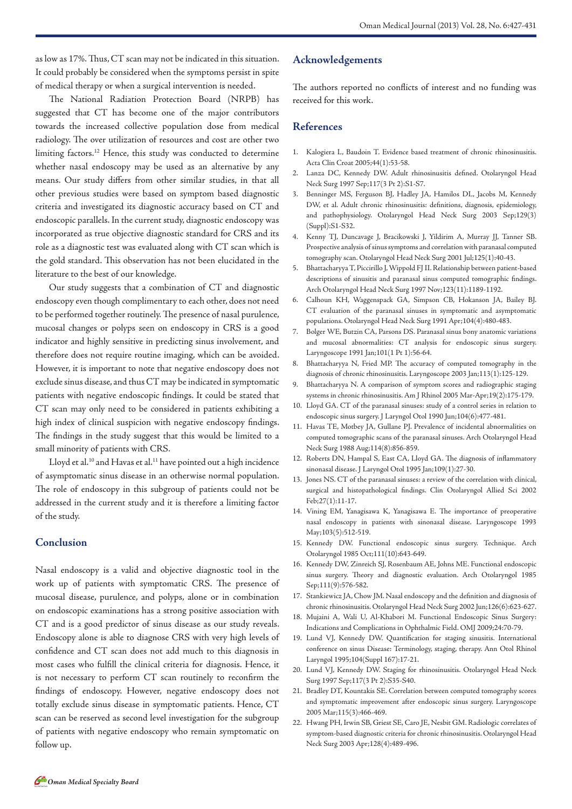as low as 17%. Thus, CT scan may not be indicated in this situation. It could probably be considered when the symptoms persist in spite of medical therapy or when a surgical intervention is needed.

The National Radiation Protection Board (NRPB) has suggested that CT has become one of the major contributors towards the increased collective population dose from medical radiology. The over utilization of resources and cost are other two limiting factors.12 Hence, this study was conducted to determine whether nasal endoscopy may be used as an alternative by any means. Our study differs from other similar studies, in that all other previous studies were based on symptom based diagnostic criteria and investigated its diagnostic accuracy based on CT and endoscopic parallels. In the current study, diagnostic endoscopy was incorporated as true objective diagnostic standard for CRS and its role as a diagnostic test was evaluated along with CT scan which is the gold standard. This observation has not been elucidated in the literature to the best of our knowledge.

Our study suggests that a combination of CT and diagnostic endoscopy even though complimentary to each other, does not need to be performed together routinely. The presence of nasal purulence, mucosal changes or polyps seen on endoscopy in CRS is a good indicator and highly sensitive in predicting sinus involvement, and therefore does not require routine imaging, which can be avoided. However, it is important to note that negative endoscopy does not exclude sinus disease, and thus CT may be indicated in symptomatic patients with negative endoscopic findings. It could be stated that CT scan may only need to be considered in patients exhibiting a high index of clinical suspicion with negative endoscopy findings. The findings in the study suggest that this would be limited to a small minority of patients with CRS.

Lloyd et al.<sup>10</sup> and Havas et al.<sup>11</sup> have pointed out a high incidence of asymptomatic sinus disease in an otherwise normal population. The role of endoscopy in this subgroup of patients could not be addressed in the current study and it is therefore a limiting factor of the study.

### **Conclusion**

Nasal endoscopy is a valid and objective diagnostic tool in the work up of patients with symptomatic CRS. The presence of mucosal disease, purulence, and polyps, alone or in combination on endoscopic examinations has a strong positive association with CT and is a good predictor of sinus disease as our study reveals. Endoscopy alone is able to diagnose CRS with very high levels of confidence and CT scan does not add much to this diagnosis in most cases who fulfill the clinical criteria for diagnosis. Hence, it is not necessary to perform CT scan routinely to reconfirm the findings of endoscopy. However, negative endoscopy does not totally exclude sinus disease in symptomatic patients. Hence, CT scan can be reserved as second level investigation for the subgroup of patients with negative endoscopy who remain symptomatic on follow up.

## **Acknowledgements**

The authors reported no conflicts of interest and no funding was received for this work.

### **References**

- 1. Kalogiera L, Baudoin T. Evidence based treatment of chronic rhinosinusitis. Acta Clin Croat 2005;44(1):53-58.
- 2. Lanza DC, Kennedy DW. Adult rhinosinusitis defined. Otolaryngol Head Neck Surg 1997 Sep;117(3 Pt 2):S1-S7.
- 3. Benninger MS, Ferguson BJ, Hadley JA, Hamilos DL, Jacobs M, Kennedy DW, et al. Adult chronic rhinosinusitis: definitions, diagnosis, epidemiology, and pathophysiology. Otolaryngol Head Neck Surg 2003 Sep;129(3) (Suppl):S1-S32.
- 4. Kenny TJ, Duncavage J, Bracikowski J, Yildirim A, Murray JJ, Tanner SB. Prospective analysis of sinus symptoms and correlation with paranasal computed tomography scan. Otolaryngol Head Neck Surg 2001 Jul;125(1):40-43.
- 5. Bhattacharyya T, Piccirillo J, Wippold FJ II. Relationship between patient-based descriptions of sinusitis and paranasal sinus computed tomographic findings. Arch Otolaryngol Head Neck Surg 1997 Nov;123(11):1189-1192.
- 6. Calhoun KH, Waggenspack GA, Simpson CB, Hokanson JA, Bailey BJ. CT evaluation of the paranasal sinuses in symptomatic and asymptomatic populations. Otolaryngol Head Neck Surg 1991 Apr;104(4):480-483.
- 7. Bolger WE, Butzin CA, Parsons DS. Paranasal sinus bony anatomic variations and mucosal abnormalities: CT analysis for endoscopic sinus surgery. Laryngoscope 1991 Jan;101(1 Pt 1):56-64.
- 8. Bhattacharyya N, Fried MP. The accuracy of computed tomography in the diagnosis of chronic rhinosinusitis. Laryngoscope 2003 Jan;113(1):125-129.
- 9. Bhattacharyya N. A comparison of symptom scores and radiographic staging systems in chronic rhinosinusitis. Am J Rhinol 2005 Mar-Apr;19(2):175-179.
- 10. Lloyd GA. CT of the paranasal sinuses: study of a control series in relation to endoscopic sinus surgery. J Laryngol Otol 1990 Jun;104(6):477-481.
- 11. Havas TE, Motbey JA, Gullane PJ. Prevalence of incidental abnormalities on computed tomographic scans of the paranasal sinuses. Arch Otolaryngol Head Neck Surg 1988 Aug;114(8):856-859.
- 12. Roberts DN, Hampal S, East CA, Lloyd GA. The diagnosis of inflammatory sinonasal disease. J Laryngol Otol 1995 Jan; 109(1): 27-30.
- 13. Jones NS. CT of the paranasal sinuses: a review of the correlation with clinical, surgical and histopathological findings. Clin Otolaryngol Allied Sci 2002 Feb;27(1):11-17.
- 14. Vining EM, Yanagisawa K, Yanagisawa E. The importance of preoperative nasal endoscopy in patients with sinonasal disease. Laryngoscope 1993 May;103(5):512-519.
- 15. Kennedy DW. Functional endoscopic sinus surgery. Technique. Arch Otolaryngol 1985 Oct;111(10):643-649.
- 16. Kennedy DW, Zinreich SJ, Rosenbaum AE, Johns ME. Functional endoscopic sinus surgery. Theory and diagnostic evaluation. Arch Otolaryngol 1985 Sep;111(9):576-582.
- 17. Stankiewicz JA, Chow JM. Nasal endoscopy and the definition and diagnosis of chronic rhinosinusitis. Otolaryngol Head Neck Surg 2002 Jun;126(6):623-627.
- 18. Mujaini A, Wali U, Al-Khabori M. Functional Endoscopic Sinus Surgery: Indications and Complications in Ophthalmic Field. OMJ 2009;24:70-79.
- 19. Lund VJ, Kennedy DW. Quantification for staging sinusitis. International conference on sinus Disease: Terminology, staging, therapy. Ann Otol Rhinol Laryngol 1995;104(Suppl 167):17-21.
- 20. Lund VJ, Kennedy DW. Staging for rhinosinusitis. Otolaryngol Head Neck Surg 1997 Sep;117(3 Pt 2):S35-S40.
- 21. Bradley DT, Kountakis SE. Correlation between computed tomography scores and symptomatic improvement after endoscopic sinus surgery. Laryngoscope 2005 Mar;115(3):466-469.
- 22. Hwang PH, Irwin SB, Griest SE, Caro JE, Nesbit GM. Radiologic correlates of symptom-based diagnostic criteria for chronic rhinosinusitis. Otolaryngol Head Neck Surg 2003 Apr;128(4):489-496.